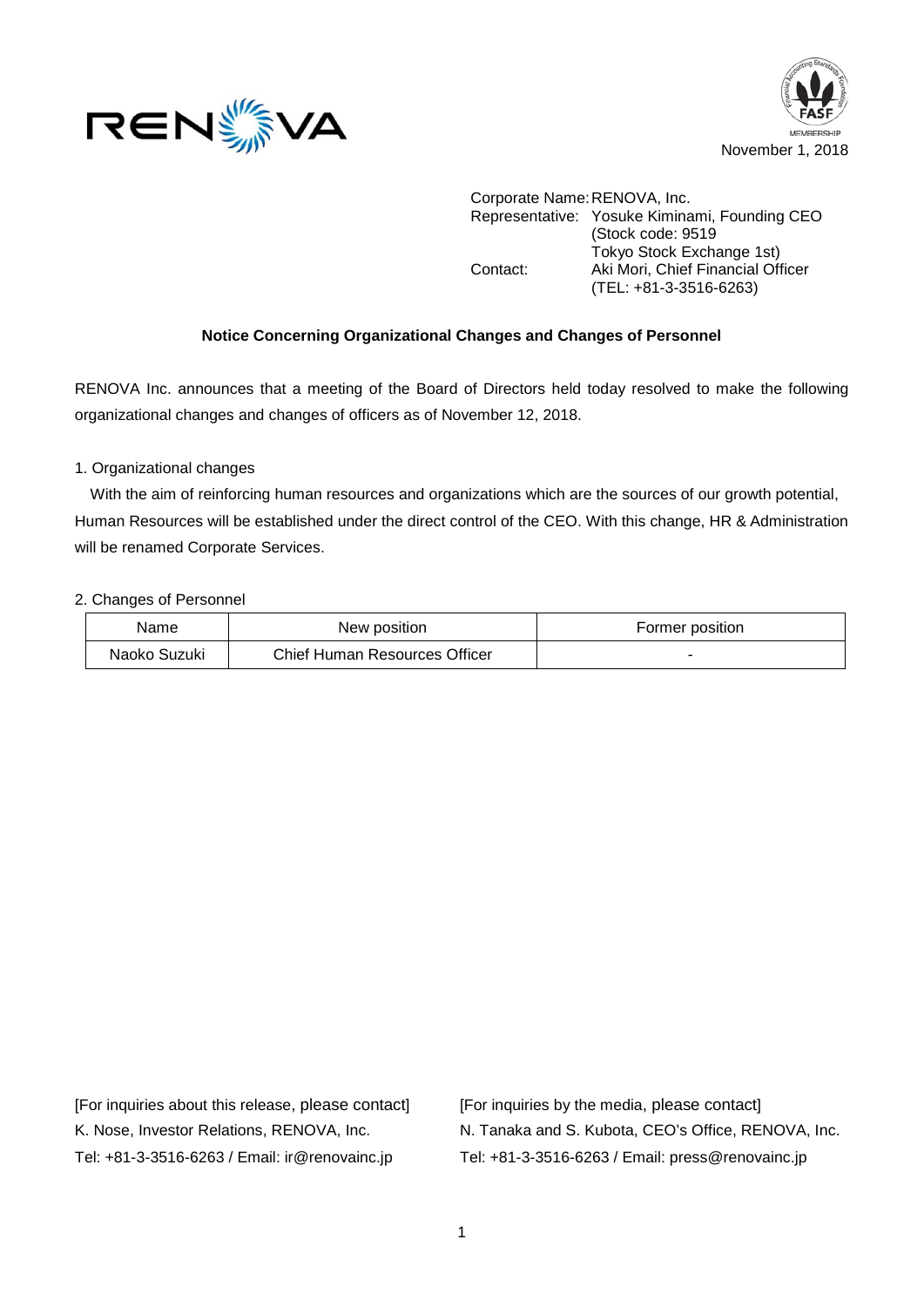



Corporate Name:RENOVA, Inc. Representative: Yosuke Kiminami, Founding CEO (Stock code: 9519 Tokyo Stock Exchange 1st) Contact: Aki Mori, Chief Financial Officer (TEL: +81-3-3516-6263)

#### **Notice Concerning Organizational Changes and Changes of Personnel**

RENOVA Inc. announces that a meeting of the Board of Directors held today resolved to make the following organizational changes and changes of officers as of November 12, 2018.

#### 1. Organizational changes

With the aim of reinforcing human resources and organizations which are the sources of our growth potential, Human Resources will be established under the direct control of the CEO. With this change, HR & Administration will be renamed Corporate Services.

#### 2. Changes of Personnel

| Name         | New position                  | Former position |
|--------------|-------------------------------|-----------------|
| Naoko Suzuki | Chief Human Resources Officer |                 |

[For inquiries about this release, please contact] [For inquiries by the media, please contact]

K. Nose, Investor Relations, RENOVA, Inc. N. Tanaka and S. Kubota, CEO's Office, RENOVA, Inc. Tel: +81-3-3516-6263 / Email: ir@renovainc.jp Tel: +81-3-3516-6263 / Email: press@renovainc.jp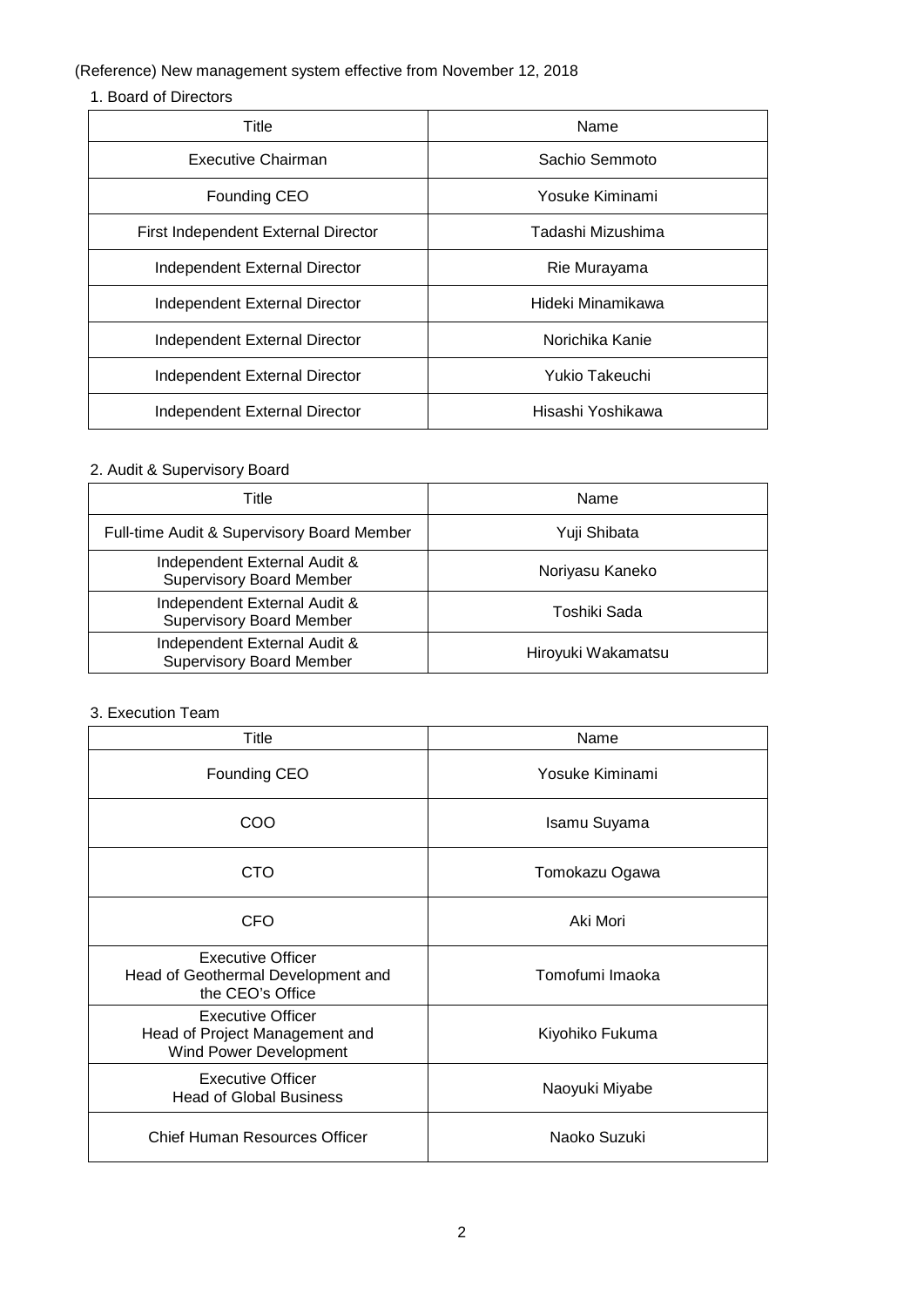# (Reference) New management system effective from November 12, 2018

## 1. Board of Directors

| Title                               | Name              |
|-------------------------------------|-------------------|
| Executive Chairman                  | Sachio Semmoto    |
| Founding CEO                        | Yosuke Kiminami   |
| First Independent External Director | Tadashi Mizushima |
| Independent External Director       | Rie Murayama      |
| Independent External Director       | Hideki Minamikawa |
| Independent External Director       | Norichika Kanie   |
| Independent External Director       | Yukio Takeuchi    |
| Independent External Director       | Hisashi Yoshikawa |

# 2. Audit & Supervisory Board

| Title                                                           | Name               |
|-----------------------------------------------------------------|--------------------|
| Full-time Audit & Supervisory Board Member                      | Yuji Shibata       |
| Independent External Audit &<br><b>Supervisory Board Member</b> | Noriyasu Kaneko    |
| Independent External Audit &<br><b>Supervisory Board Member</b> | Toshiki Sada       |
| Independent External Audit &<br><b>Supervisory Board Member</b> | Hiroyuki Wakamatsu |

### 3. Execution Team

| Title                                                                                | Name            |
|--------------------------------------------------------------------------------------|-----------------|
| Founding CEO                                                                         | Yosuke Kiminami |
| COO                                                                                  | Isamu Suyama    |
| <b>CTO</b>                                                                           | Tomokazu Ogawa  |
| CFO                                                                                  | Aki Mori        |
| <b>Executive Officer</b><br>Head of Geothermal Development and<br>the CEO's Office   | Tomofumi Imaoka |
| <b>Executive Officer</b><br>Head of Project Management and<br>Wind Power Development | Kiyohiko Fukuma |
| <b>Executive Officer</b><br><b>Head of Global Business</b>                           | Naoyuki Miyabe  |
| Chief Human Resources Officer                                                        | Naoko Suzuki    |